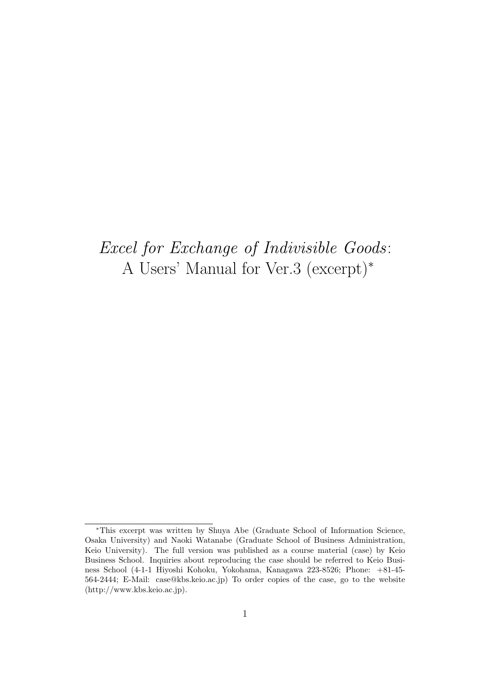# *Excel for Exchange of Indivisible Goods*: A Users' Manual for Ver.3 (excerpt)*<sup>∗</sup>*

*<sup>∗</sup>*This excerpt was written by Shuya Abe (Graduate School of Information Science, Osaka University) and Naoki Watanabe (Graduate School of Business Administration, Keio University). The full version was published as a course material (case) by Keio Business School. Inquiries about reproducing the case should be referred to Keio Business School (4-1-1 Hiyoshi Kohoku, Yokohama, Kanagawa 223-8526; Phone: +81-45- 564-2444; E-Mail: case@kbs.keio.ac.jp) To order copies of the case, go to the website (http://www.kbs.keio.ac.jp).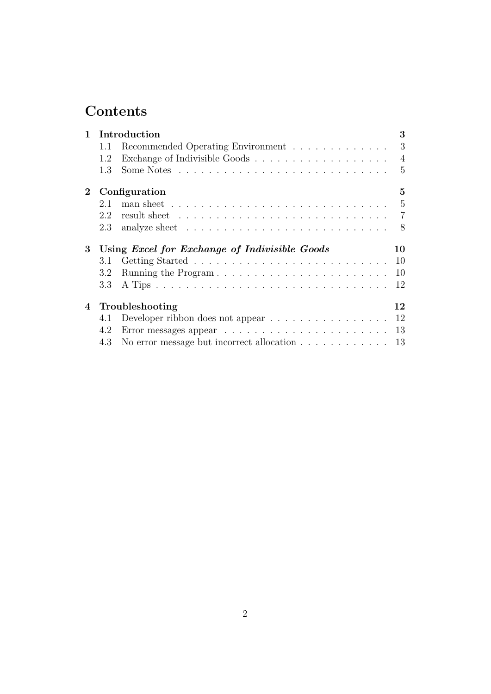# **Contents**

| $\mathbf{1}$   |     | Introduction                                                                                          | 3              |
|----------------|-----|-------------------------------------------------------------------------------------------------------|----------------|
|                | 1.1 | Recommended Operating Environment                                                                     | 3              |
|                | 1.2 | Exchange of Indivisible Goods<br>$\hfill\ldots\ldots\ldots\ldots\ldots\ldots\ldots\ldots\ldots\ldots$ | $\overline{4}$ |
|                | 1.3 |                                                                                                       | $\mathbf{5}$   |
| $\overline{2}$ |     | Configuration                                                                                         | 5              |
|                | 2.1 | man sheet $\ldots \ldots \ldots \ldots \ldots \ldots \ldots \ldots \ldots \ldots$                     | $-5$           |
|                | 2.2 | result sheet $\ldots \ldots \ldots \ldots \ldots \ldots \ldots \ldots \ldots \ldots$                  |                |
|                | 2.3 | analyze sheet $\ldots \ldots \ldots \ldots \ldots \ldots \ldots \ldots$                               | 8              |
|                |     |                                                                                                       |                |
| 3              |     | Using Excel for Exchange of Indivisible Goods                                                         | 10             |
|                | 3.1 |                                                                                                       | 10             |
|                | 3.2 | Running the Program                                                                                   | 10             |
|                | 3.3 |                                                                                                       | 12             |
| 4              |     | Troubleshooting                                                                                       | 12             |
|                | 4.1 | Developer ribbon does not appear $\dots \dots \dots \dots \dots \dots \dots \dots$ 12                 |                |
|                | 4.2 |                                                                                                       | 13             |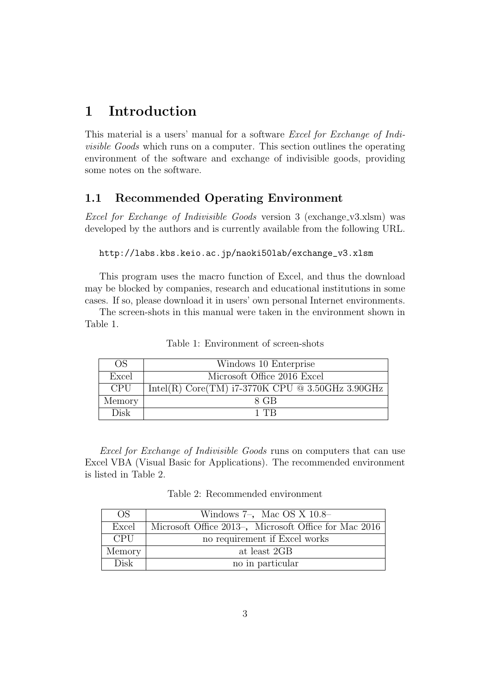# **1 Introduction**

This material is a users' manual for a software *Excel for Exchange of Indivisible Goods* which runs on a computer. This section outlines the operating environment of the software and exchange of indivisible goods, providing some notes on the software.

# **1.1 Recommended Operating Environment**

*Excel for Exchange of Indivisible Goods* version 3 (exchange v3.xlsm) was developed by the authors and is currently available from the following URL.

#### http://labs.kbs.keio.ac.jp/naoki50lab/exchange\_v3.xlsm

This program uses the macro function of Excel, and thus the download may be blocked by companies, research and educational institutions in some cases. If so, please download it in users' own personal Internet environments.

The screen-shots in this manual were taken in the environment shown in Table 1.

| <b>OS</b>  | Windows 10 Enterprise                              |
|------------|----------------------------------------------------|
| Excel      | Microsoft Office 2016 Excel                        |
| <b>CPU</b> | Intel(R) Core(TM) $i7-3770K$ CPU @ 3.50GHz 3.90GHz |
| Memory     | 8 GB                                               |
| Disk       | 1 TR                                               |

Table 1: Environment of screen-shots

*Excel for Exchange of Indivisible Goods* runs on computers that can use Excel VBA (Visual Basic for Applications). The recommended environment is listed in Table 2.

Table 2: Recommended environment

| OS.        | Windows $7-$ , Mac OS X $10.8-$                       |
|------------|-------------------------------------------------------|
| Excel      | Microsoft Office 2013-, Microsoft Office for Mac 2016 |
| <b>CPU</b> | no requirement if Excel works                         |
| Memory     | at least 2GB                                          |
| Disk       | no in particular                                      |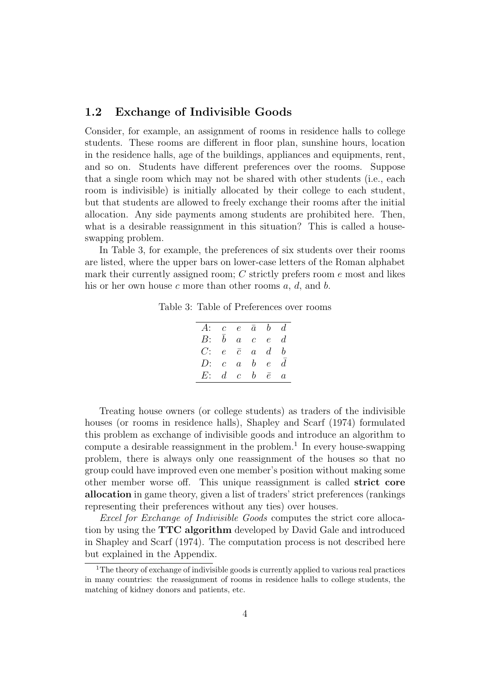## **1.2 Exchange of Indivisible Goods**

Consider, for example, an assignment of rooms in residence halls to college students. These rooms are different in floor plan, sunshine hours, location in the residence halls, age of the buildings, appliances and equipments, rent, and so on. Students have different preferences over the rooms. Suppose that a single room which may not be shared with other students (i.e., each room is indivisible) is initially allocated by their college to each student, but that students are allowed to freely exchange their rooms after the initial allocation. Any side payments among students are prohibited here. Then, what is a desirable reassignment in this situation? This is called a houseswapping problem.

In Table 3, for example, the preferences of six students over their rooms are listed, where the upper bars on lower-case letters of the Roman alphabet mark their currently assigned room; *C* strictly prefers room *e* most and likes his or her own house *c* more than other rooms *a*, *d*, and *b*.

Table 3: Table of Preferences over rooms

| A: $c \quad e \quad \bar{a} \quad b \quad d$ |                                     |                             |                |
|----------------------------------------------|-------------------------------------|-----------------------------|----------------|
| B:                                           | $b^-$                               | $a \quad c \quad e \quad d$ |                |
| $C$ :                                        | $e\quad \bar{c}\quad a\quad d$      |                             | b              |
| D:                                           | $c \quad a \quad b \quad e \quad d$ |                             |                |
| $E: d \quad c \quad b \quad \bar{e}$         |                                     |                             | $\overline{a}$ |
|                                              |                                     |                             |                |

Treating house owners (or college students) as traders of the indivisible houses (or rooms in residence halls), Shapley and Scarf (1974) formulated this problem as exchange of indivisible goods and introduce an algorithm to compute a desirable reassignment in the problem.<sup>1</sup> In every house-swapping problem, there is always only one reassignment of the houses so that no group could have improved even one member's position without making some other member worse off. This unique reassignment is called **strict core allocation** in game theory, given a list of traders' strict preferences (rankings representing their preferences without any ties) over houses.

*Excel for Exchange of Indivisible Goods* computes the strict core allocation by using the **TTC algorithm** developed by David Gale and introduced in Shapley and Scarf (1974). The computation process is not described here but explained in the Appendix.

<sup>&</sup>lt;sup>1</sup>The theory of exchange of indivisible goods is currently applied to various real practices in many countries: the reassignment of rooms in residence halls to college students, the matching of kidney donors and patients, etc.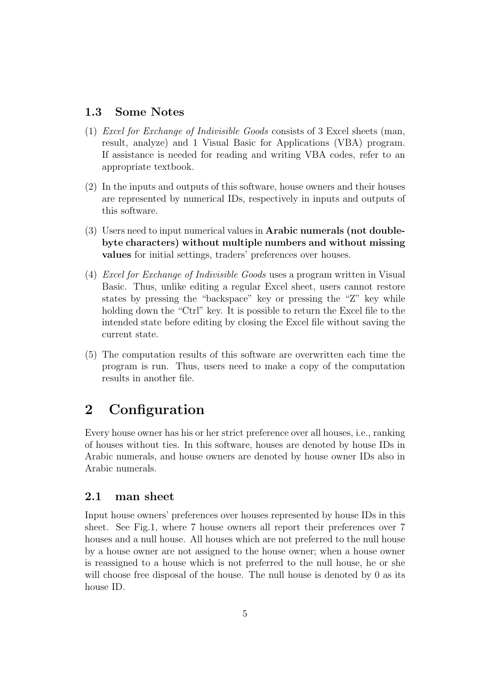## **1.3 Some Notes**

- (1) *Excel for Exchange of Indivisible Goods* consists of 3 Excel sheets (man, result, analyze) and 1 Visual Basic for Applications (VBA) program. If assistance is needed for reading and writing VBA codes, refer to an appropriate textbook.
- (2) In the inputs and outputs of this software, house owners and their houses are represented by numerical IDs, respectively in inputs and outputs of this software.
- (3) Users need to input numerical values in **Arabic numerals (not doublebyte characters) without multiple numbers and without missing values** for initial settings, traders' preferences over houses.
- (4) *Excel for Exchange of Indivisible Goods* uses a program written in Visual Basic. Thus, unlike editing a regular Excel sheet, users cannot restore states by pressing the "backspace" key or pressing the "Z" key while holding down the "Ctrl" key. It is possible to return the Excel file to the intended state before editing by closing the Excel file without saving the current state.
- (5) The computation results of this software are overwritten each time the program is run. Thus, users need to make a copy of the computation results in another file.

# **2 Configuration**

Every house owner has his or her strict preference over all houses, i.e., ranking of houses without ties. In this software, houses are denoted by house IDs in Arabic numerals, and house owners are denoted by house owner IDs also in Arabic numerals.

### **2.1 man sheet**

Input house owners' preferences over houses represented by house IDs in this sheet. See Fig.1, where 7 house owners all report their preferences over 7 houses and a null house. All houses which are not preferred to the null house by a house owner are not assigned to the house owner; when a house owner is reassigned to a house which is not preferred to the null house, he or she will choose free disposal of the house. The null house is denoted by 0 as its house ID.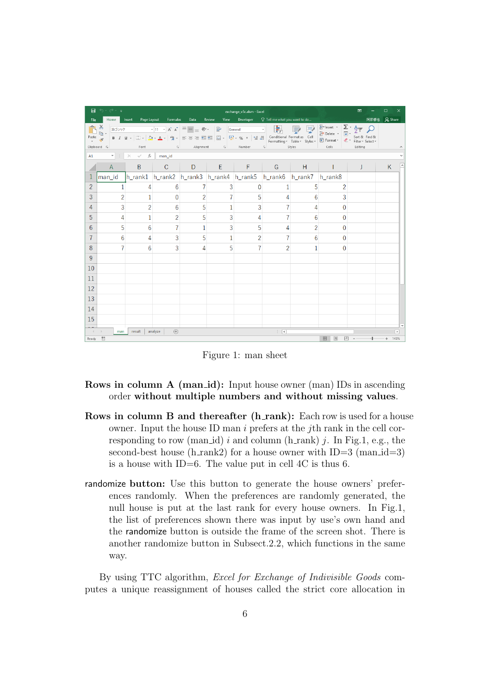|                | 日うです                                                     |                                                |                                  |                |                                           | exchange_v5c.xlsm - Excel                                                                                                    |                |                |           | 囨                                                                         | □          |               |
|----------------|----------------------------------------------------------|------------------------------------------------|----------------------------------|----------------|-------------------------------------------|------------------------------------------------------------------------------------------------------------------------------|----------------|----------------|-----------|---------------------------------------------------------------------------|------------|---------------|
| File           |                                                          |                                                | Home Insert Page Layout Formulas | Data           | Review                                    | View Developer $Q$ Tell me what you want to do                                                                               |                |                |           | 阿部修也                                                                      | $Q4$ Share |               |
| Paste<br>v     | $\mathbf{\hat{D}}^*_{\mathbf{\hat{m}}}$ .<br>Clipboard 5 | Font                                           |                                  |                |                                           | <sup>浙ゴシック</sup> 「11 → A <sup>*</sup> A <sup>*</sup> ≡ ≡ ≫ → ■ General<br><b>Example 2</b> Alignment <b>Call Bumber Call</b> | 羞              | Styles         | Cells and | $\frac{2}{2}$ Insert $\cdot$ $\frac{\sum \cdot A_{\gamma}}{2}$<br>Editing |            |               |
| A1             |                                                          | $\mathbf{v}$ : $\times$ $\checkmark$ fx man_id |                                  |                |                                           |                                                                                                                              |                |                |           |                                                                           |            |               |
|                | $\mathsf{A}$                                             | B                                              |                                  | $C$ D          | $\vert \cdot \vert$ E $\vert \cdot \vert$ | $\sim$ F $\sim$                                                                                                              | G              | H              |           | J                                                                         | K          |               |
|                | man_id                                                   |                                                |                                  |                |                                           | h_rank1 h_rank2 h_rank3 h_rank4 h_rank5 h_rank6 h_rank7 h_rank8                                                              |                |                |           |                                                                           |            |               |
| $\overline{2}$ | 1                                                        | 4                                              | 6                                |                | 3                                         | $\Omega$                                                                                                                     | 1              | 5              | 2         |                                                                           |            |               |
| 3              | $\overline{2}$                                           | $\mathbf{1}$                                   | $\mathbf{0}$                     | $\overline{2}$ |                                           | 5                                                                                                                            | $\overline{A}$ | 6              | 3         |                                                                           |            |               |
| 4              | 3                                                        | $\overline{2}$                                 | 6                                | 5              | $\overline{1}$                            | 3                                                                                                                            |                | 4              | 0         |                                                                           |            |               |
| 5              | 4                                                        | 1                                              | $\overline{2}$                   | 5              | 3                                         | 4                                                                                                                            | 7              | 6              | 0         |                                                                           |            |               |
| 6              | 5                                                        | 6                                              |                                  | $\overline{1}$ | 3                                         | 5                                                                                                                            | 4              | $\overline{2}$ | 0         |                                                                           |            |               |
| 7              | 6                                                        | 4                                              | 3                                | 5              | 1                                         | $\overline{2}$                                                                                                               | 7              | 6              | 0         |                                                                           |            |               |
| 8              |                                                          | 6                                              | 3                                | 4              | 5                                         |                                                                                                                              | $\overline{2}$ | 1              | 0         |                                                                           |            |               |
| 9              |                                                          |                                                |                                  |                |                                           |                                                                                                                              |                |                |           |                                                                           |            |               |
| 10             |                                                          |                                                |                                  |                |                                           |                                                                                                                              |                |                |           |                                                                           |            |               |
| 11             |                                                          |                                                |                                  |                |                                           |                                                                                                                              |                |                |           |                                                                           |            |               |
| 12             |                                                          |                                                |                                  |                |                                           |                                                                                                                              |                |                |           |                                                                           |            |               |
| 13             |                                                          |                                                |                                  |                |                                           |                                                                                                                              |                |                |           |                                                                           |            |               |
| 14             |                                                          |                                                |                                  |                |                                           |                                                                                                                              |                |                |           |                                                                           |            |               |
| 15             |                                                          |                                                |                                  |                |                                           |                                                                                                                              |                |                |           |                                                                           |            |               |
|                | man                                                      | result                                         | $(+)$<br>analyze                 |                |                                           |                                                                                                                              | $\mathbb{R}$   |                |           |                                                                           |            | $\rightarrow$ |
| Ready          |                                                          |                                                |                                  |                |                                           |                                                                                                                              |                |                | 囲<br>间    | 四                                                                         | 145%       |               |

Figure 1: man sheet

# **Rows in column A (man\_id):** Input house owner (man) IDs in ascending order **without multiple numbers and without missing values**.

- **Rows in column B and thereafter (h\_rank):** Each row is used for a house owner. Input the house ID man *i* prefers at the *j*th rank in the cell corresponding to row (man id)  $i$  and column (h rank)  $j$ . In Fig.1, e.g., the second-best house (h\_rank2) for a house owner with  $ID=3$  (man\_id=3) is a house with ID=6. The value put in cell 4C is thus 6.
- randomize **button:** Use this button to generate the house owners' preferences randomly. When the preferences are randomly generated, the null house is put at the last rank for every house owners. In Fig.1, the list of preferences shown there was input by use's own hand and the randomize button is outside the frame of the screen shot. There is another randomize button in Subsect.2.2, which functions in the same way.

By using TTC algorithm, *Excel for Exchange of Indivisible Goods* computes a unique reassignment of houses called the strict core allocation in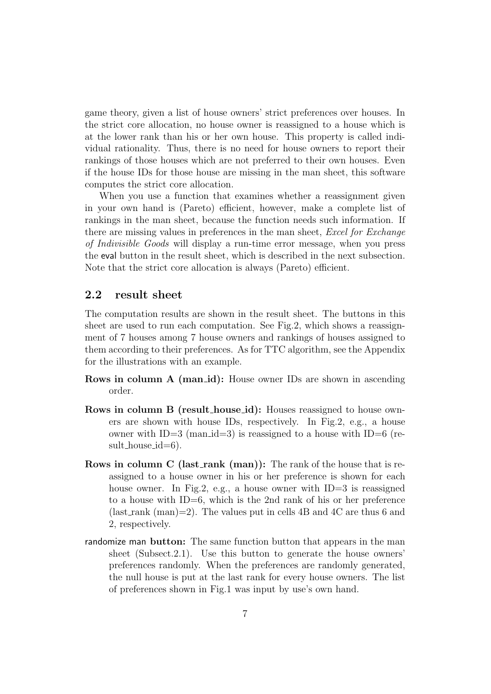game theory, given a list of house owners' strict preferences over houses. In the strict core allocation, no house owner is reassigned to a house which is at the lower rank than his or her own house. This property is called individual rationality. Thus, there is no need for house owners to report their rankings of those houses which are not preferred to their own houses. Even if the house IDs for those house are missing in the man sheet, this software computes the strict core allocation.

When you use a function that examines whether a reassignment given in your own hand is (Pareto) efficient, however, make a complete list of rankings in the man sheet, because the function needs such information. If there are missing values in preferences in the man sheet, *Excel for Exchange of Indivisible Goods* will display a run-time error message, when you press the eval button in the result sheet, which is described in the next subsection. Note that the strict core allocation is always (Pareto) efficient.

#### **2.2 result sheet**

The computation results are shown in the result sheet. The buttons in this sheet are used to run each computation. See Fig.2, which shows a reassignment of 7 houses among 7 house owners and rankings of houses assigned to them according to their preferences. As for TTC algorithm, see the Appendix for the illustrations with an example.

- **Rows in column A (man\_id):** House owner IDs are shown in ascending order.
- **Rows in column B (result house id):** Houses reassigned to house owners are shown with house IDs, respectively. In Fig.2, e.g., a house owner with ID=3 (man  $id=3$ ) is reassigned to a house with ID=6 (result\_house\_id=6).
- **Rows in column C (last\_rank (man)):** The rank of the house that is reassigned to a house owner in his or her preference is shown for each house owner. In Fig.2, e.g., a house owner with ID=3 is reassigned to a house with ID=6, which is the 2nd rank of his or her preference (last\_rank (man)=2). The values put in cells 4B and 4C are thus 6 and 2, respectively.
- randomize man **button:** The same function button that appears in the man sheet (Subsect.2.1). Use this button to generate the house owners' preferences randomly. When the preferences are randomly generated, the null house is put at the last rank for every house owners. The list of preferences shown in Fig.1 was input by use's own hand.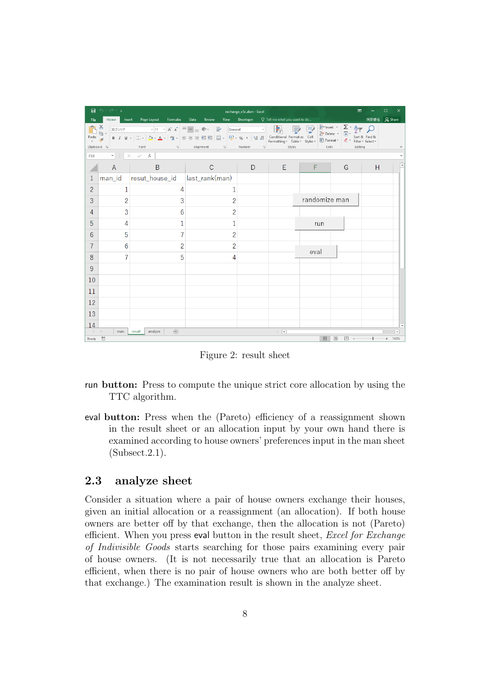|                                                                      | 日うです         |                                         |                                                    | exchange_v5c.xlsm - Excel                    |                             |                    | 囨       |      | $\Box$    |
|----------------------------------------------------------------------|--------------|-----------------------------------------|----------------------------------------------------|----------------------------------------------|-----------------------------|--------------------|---------|------|-----------|
| File                                                                 | Home         | Insert Page Layout Formulas             | Data<br>Review                                     | View Developer Q Tell me what you want to do |                             |                    |         | 阿部修也 | Q Share   |
| $\mathbf{\hat{D}}^*_{\mathbf{\hat{m}}}$ .<br>Paste                   | Clipboard 5  | Font                                    | <b>Example 2</b> Alignment <b>Call Bumber Call</b> |                                              | Styles                      | <b>Cells</b> Cells | Editing |      |           |
| F <sub>19</sub>                                                      |              | $\mathbf{r}$ : $\times$ $\checkmark$ fx |                                                    |                                              |                             |                    |         |      |           |
|                                                                      | $\mathsf{A}$ | $\overline{B}$                          | $\mathsf{C}$                                       | D                                            | Ε                           | F                  | G       | H    |           |
| $\mathbf{1}$                                                         |              | man_id resut_house_id  last_rank(man)   |                                                    |                                              |                             |                    |         |      |           |
| $\overline{2}$                                                       | 1            | 4                                       | 1                                                  |                                              |                             |                    |         |      |           |
| 3                                                                    | 2            | 3                                       | 2                                                  |                                              |                             | randomize man      |         |      |           |
| 4                                                                    | 3            | 6                                       | $\overline{2}$                                     |                                              |                             |                    |         |      |           |
| 5                                                                    | 4            |                                         |                                                    |                                              |                             | run                |         |      |           |
| 6                                                                    | 5            |                                         | $\overline{2}$                                     |                                              |                             |                    |         |      |           |
| 7                                                                    | 6            | 2                                       | 2                                                  |                                              |                             | eval               |         |      |           |
| 8                                                                    |              | 5                                       | 4                                                  |                                              |                             |                    |         |      |           |
| 9                                                                    |              |                                         |                                                    |                                              |                             |                    |         |      |           |
| 10                                                                   |              |                                         |                                                    |                                              |                             |                    |         |      |           |
| 11                                                                   |              |                                         |                                                    |                                              |                             |                    |         |      |           |
| 12                                                                   |              |                                         |                                                    |                                              |                             |                    |         |      |           |
| 13                                                                   |              |                                         |                                                    |                                              |                             |                    |         |      |           |
| 14                                                                   |              |                                         |                                                    |                                              |                             |                    |         |      |           |
| $\left\{ \begin{array}{ccc} & & \\ & & \end{array} \right.$<br>Ready | man<br>問     | $\bigoplus$<br>analyze<br>result        |                                                    |                                              | $\frac{1}{2}$ $\frac{1}{2}$ | 冊                  | 回<br>匹  |      | ⊪<br>160% |

Figure 2: result sheet

- run **button:** Press to compute the unique strict core allocation by using the TTC algorithm.
- eval **button:** Press when the (Pareto) efficiency of a reassignment shown in the result sheet or an allocation input by your own hand there is examined according to house owners' preferences input in the man sheet (Subsect.2.1).

### **2.3 analyze sheet**

Consider a situation where a pair of house owners exchange their houses, given an initial allocation or a reassignment (an allocation). If both house owners are better off by that exchange, then the allocation is not (Pareto) efficient. When you press eval button in the result sheet, *Excel for Exchange of Indivisible Goods* starts searching for those pairs examining every pair of house owners. (It is not necessarily true that an allocation is Pareto efficient, when there is no pair of house owners who are both better off by that exchange.) The examination result is shown in the analyze sheet.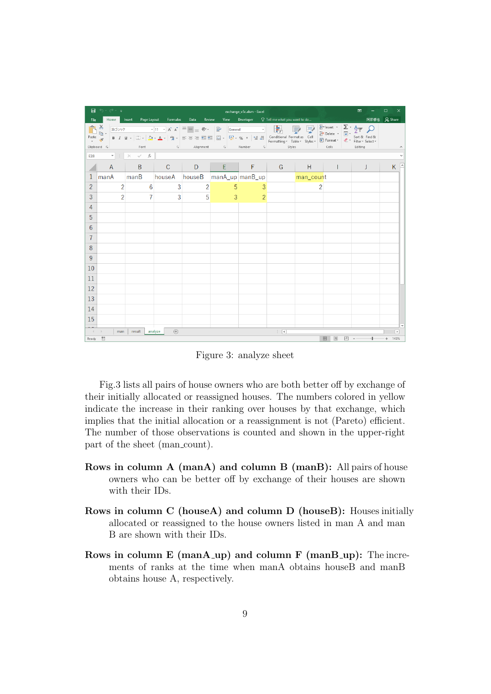|                     | 日うです                                                                                                           |                                         |                                                               |                  |                                                     | exchange_v5c.xlsm - Excel |                          |         |                                                | 囨            | $\Box$<br>×              |
|---------------------|----------------------------------------------------------------------------------------------------------------|-----------------------------------------|---------------------------------------------------------------|------------------|-----------------------------------------------------|---------------------------|--------------------------|---------|------------------------------------------------|--------------|--------------------------|
| File                |                                                                                                                |                                         | Home Insert Page Layout Formulas Data                         |                  | Review View Developer Q Tell me what you want to do |                           |                          |         |                                                | 阿部修也 Q Share |                          |
| Paste $\frac{1}{x}$ | $\mathbf{B}^*$<br>Clipboard 5                                                                                  |                                         |                                                               |                  |                                                     |                           |                          |         | rs Alignment rs Number rs Styles Cells Editing |              | $\land$                  |
|                     | E28 and the set of the set of the set of the set of the set of the set of the set of the set of the set of the | $\mathbf{r}$ : $\times$ $\checkmark$ fx |                                                               |                  |                                                     |                           |                          |         |                                                |              |                          |
|                     | $\mathsf{A}$                                                                                                   | $\mathsf{B}$                            |                                                               |                  | C D E F                                             |                           | G                        | in Hill |                                                | J            | K.                       |
| $\mathbf{1}$        |                                                                                                                |                                         | manA   manB   houseA   houseB   manA_up   manB_up   man_count |                  |                                                     |                           |                          |         |                                                |              |                          |
| $\overline{2}$      | $\overline{2}$                                                                                                 | 6                                       | $\overline{3}$                                                | $\left  \right $ | 5                                                   | $\overline{3}$            |                          |         | $\overline{2}$                                 |              |                          |
| 3                   | $\overline{2}$                                                                                                 | $\overline{7}$                          | $\overline{3}$                                                | 5                | $\overline{3}$                                      | 2                         |                          |         |                                                |              |                          |
| 4                   |                                                                                                                |                                         |                                                               |                  |                                                     |                           |                          |         |                                                |              |                          |
| 5                   |                                                                                                                |                                         |                                                               |                  |                                                     |                           |                          |         |                                                |              |                          |
| 6                   |                                                                                                                |                                         |                                                               |                  |                                                     |                           |                          |         |                                                |              |                          |
| 7                   |                                                                                                                |                                         |                                                               |                  |                                                     |                           |                          |         |                                                |              |                          |
| 8                   |                                                                                                                |                                         |                                                               |                  |                                                     |                           |                          |         |                                                |              |                          |
| 9                   |                                                                                                                |                                         |                                                               |                  |                                                     |                           |                          |         |                                                |              |                          |
| 10                  |                                                                                                                |                                         |                                                               |                  |                                                     |                           |                          |         |                                                |              |                          |
| 11                  |                                                                                                                |                                         |                                                               |                  |                                                     |                           |                          |         |                                                |              |                          |
| 12                  |                                                                                                                |                                         |                                                               |                  |                                                     |                           |                          |         |                                                |              |                          |
| 13                  |                                                                                                                |                                         |                                                               |                  |                                                     |                           |                          |         |                                                |              |                          |
| 14                  |                                                                                                                |                                         |                                                               |                  |                                                     |                           |                          |         |                                                |              |                          |
| 15                  |                                                                                                                |                                         |                                                               |                  |                                                     |                           |                          |         |                                                |              |                          |
| $\prec \cdots$ ):   | man                                                                                                            | result                                  | (F)<br>analyze                                                |                  |                                                     |                           | $\mathbb{E}[\mathbf{X}]$ |         |                                                |              | $\overline{\phantom{a}}$ |
| Ready               | 體                                                                                                              |                                         |                                                               |                  |                                                     |                           |                          |         | 冊<br>间<br>凹                                    |              | 145%                     |

Figure 3: analyze sheet

Fig.3 lists all pairs of house owners who are both better off by exchange of their initially allocated or reassigned houses. The numbers colored in yellow indicate the increase in their ranking over houses by that exchange, which implies that the initial allocation or a reassignment is not (Pareto) efficient. The number of those observations is counted and shown in the upper-right part of the sheet (man\_count).

- **Rows in column A (manA) and column B (manB):** All pairs of house owners who can be better off by exchange of their houses are shown with their IDs.
- **Rows in column C (houseA) and column D (houseB):** Houses initially allocated or reassigned to the house owners listed in man A and man B are shown with their IDs.
- **Rows in column E (manA\_up) and column F (manB\_up):** The increments of ranks at the time when manA obtains houseB and manB obtains house A, respectively.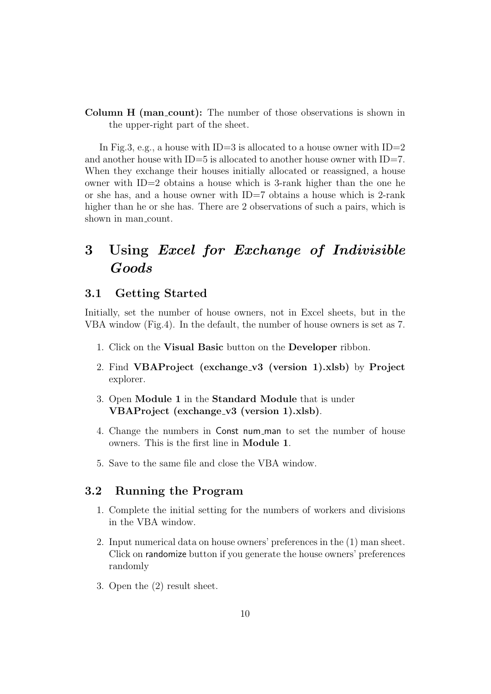**Column H (man\_count):** The number of those observations is shown in the upper-right part of the sheet.

In Fig.3, e.g., a house with ID=3 is allocated to a house owner with ID=2 and another house with  $ID=5$  is allocated to another house owner with  $ID=7$ . When they exchange their houses initially allocated or reassigned, a house owner with ID=2 obtains a house which is 3-rank higher than the one he or she has, and a house owner with  $ID=7$  obtains a house which is 2-rank higher than he or she has. There are 2 observations of such a pairs, which is shown in man\_count.

# **3 Using** *Excel for Exchange of Indivisible Goods*

### **3.1 Getting Started**

Initially, set the number of house owners, not in Excel sheets, but in the VBA window (Fig.4). In the default, the number of house owners is set as 7.

- 1. Click on the **Visual Basic** button on the **Developer** ribbon.
- 2. Find **VBAProject (exchange v3 (version 1).xlsb)** by **Project** explorer.
- 3. Open **Module 1** in the **Standard Module** that is under **VBAProject (exchange v3 (version 1).xlsb)**.
- 4. Change the numbers in Const num man to set the number of house owners. This is the first line in **Module 1**.
- 5. Save to the same file and close the VBA window.

### **3.2 Running the Program**

- 1. Complete the initial setting for the numbers of workers and divisions in the VBA window.
- 2. Input numerical data on house owners' preferences in the (1) man sheet. Click on randomize button if you generate the house owners' preferences randomly
- 3. Open the (2) result sheet.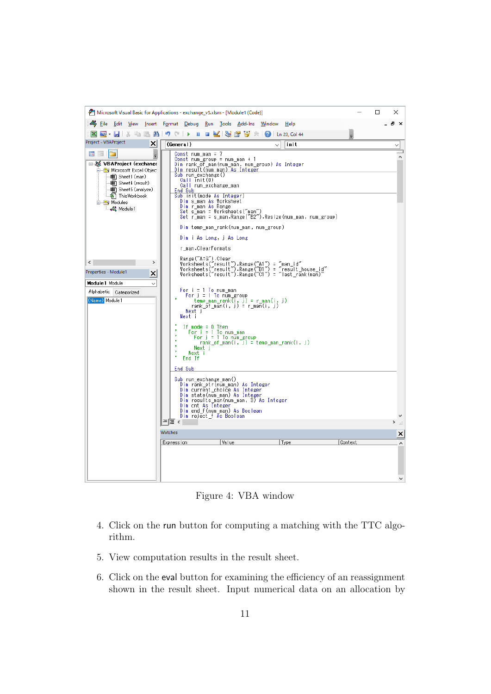|                                                                                                                                                                                                                                                                                                                                         | Microsoft Visual Basic for Applications - exchange_v5.xlsm - [Module1 (Code)]<br>□                                                                                                                                                                                                                                                                                                                                                                                                                                                                                                                                                                                                                                                                                                                                                                                                                                                                                                                                                                                                                                                                                                                                                                                                                                                       | ×   |
|-----------------------------------------------------------------------------------------------------------------------------------------------------------------------------------------------------------------------------------------------------------------------------------------------------------------------------------------|------------------------------------------------------------------------------------------------------------------------------------------------------------------------------------------------------------------------------------------------------------------------------------------------------------------------------------------------------------------------------------------------------------------------------------------------------------------------------------------------------------------------------------------------------------------------------------------------------------------------------------------------------------------------------------------------------------------------------------------------------------------------------------------------------------------------------------------------------------------------------------------------------------------------------------------------------------------------------------------------------------------------------------------------------------------------------------------------------------------------------------------------------------------------------------------------------------------------------------------------------------------------------------------------------------------------------------------|-----|
| <Edit View                                                                                                                                                                                                                                                                                                                              | Insert Format Debug<br>Run Tools Add-Ins Window<br>Help                                                                                                                                                                                                                                                                                                                                                                                                                                                                                                                                                                                                                                                                                                                                                                                                                                                                                                                                                                                                                                                                                                                                                                                                                                                                                  | a x |
|                                                                                                                                                                                                                                                                                                                                         | 図画・日 ※ ● 8 お り (*   ▶ Ⅱ ■ ビ   3 音 ?; *   ❷   ln 23, Col 44                                                                                                                                                                                                                                                                                                                                                                                                                                                                                                                                                                                                                                                                                                                                                                                                                                                                                                                                                                                                                                                                                                                                                                                                                                                                               |     |
| Project - VBAProject<br>$\times$                                                                                                                                                                                                                                                                                                        | (General)<br>init                                                                                                                                                                                                                                                                                                                                                                                                                                                                                                                                                                                                                                                                                                                                                                                                                                                                                                                                                                                                                                                                                                                                                                                                                                                                                                                        |     |
| <b>EE</b> EE<br>$\overline{\mathbf{v}}$<br>□ 8% VBAProject (exchange<br><b>E-C Microsoft Excel Object</b><br>· 11 Sheet 1 (man)<br><b>图 Sheet4 (result)</b><br>·      Sheet5 (analyze)<br>※ ThisWorkbook<br>Modules<br>ं √&े Module 1<br>⋖<br>Properties - Module1<br>×<br>Module 1 Module<br>Alphabetic Categorized<br>(Name) Module 1 | Const num_man = $7$<br>Const num_group = num_man + 1<br>Dim rank_of_man(num_man, num_group) As Integer<br><u>Dim result(num man) As Integer</u><br>Sub run_exchange()<br>Call Tnit(0)<br>Call run_exchange_man<br>End Sub<br>Sub init(mode As Integer)<br>Dim s_man As Worksheet<br>Dim r_man As Range<br>Set s_man = Worksheets("man")<br>Set r_man = s_man.Range("B2").Resize(num_man, num_group)<br>Dim temp man rank(num man, num group)<br>Dim i As Long, j As Long<br>r man ClearFormats<br>Range("A:G").Clear<br>Worksheets("result").Range("A1") = "man_id"<br>Worksheets("result").Range("B1") = "result_house_id"<br>Worksheets("result").Range("C1") = "last_rank(man)"<br>For $i = 1$ To num_man<br>For $j = 1$ To num_group<br>itemp_man_rank(i, j) = r_man(i, j)<br>rank_of_man(i, j) = r_man(i, j)<br>Next i<br>Next i<br>If mode $= 0$ Then<br>For $i = 1$ To num_man<br>For $j = 1$ To num_group<br>rank of man(i, j) = temp man rank(i, j)<br>Next i<br>Next i<br>×<br>End If<br>End Sub<br>Sub run_exchange_man()<br>Dim ränk_ptr(nüm_man) As Integer<br>.<br>Dim current_choice As Integer<br>Dim state(num_man) As Integer<br>Dim results man(num_man, 3) As Integer<br>Dim ont As Integer<br>Dim end_f(num_man) As Boolean<br>Dim reject_f As Boolean<br>l≣ <<br>Watches<br>Value<br>Type<br>Context<br>Expression | ×   |
|                                                                                                                                                                                                                                                                                                                                         |                                                                                                                                                                                                                                                                                                                                                                                                                                                                                                                                                                                                                                                                                                                                                                                                                                                                                                                                                                                                                                                                                                                                                                                                                                                                                                                                          |     |

Figure 4: VBA window

- 4. Click on the run button for computing a matching with the TTC algorithm.
- 5. View computation results in the result sheet.
- 6. Click on the eval button for examining the efficiency of an reassignment shown in the result sheet. Input numerical data on an allocation by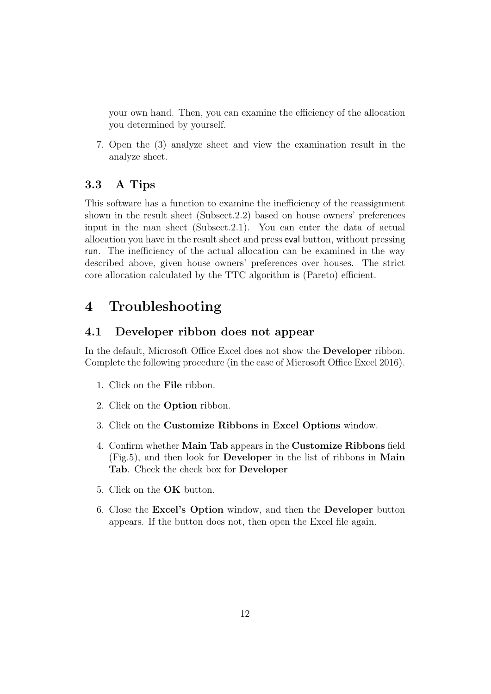your own hand. Then, you can examine the efficiency of the allocation you determined by yourself.

7. Open the (3) analyze sheet and view the examination result in the analyze sheet.

# **3.3 A Tips**

This software has a function to examine the inefficiency of the reassignment shown in the result sheet (Subsect.2.2) based on house owners' preferences input in the man sheet (Subsect.2.1). You can enter the data of actual allocation you have in the result sheet and press eval button, without pressing run. The inefficiency of the actual allocation can be examined in the way described above, given house owners' preferences over houses. The strict core allocation calculated by the TTC algorithm is (Pareto) efficient.

# **4 Troubleshooting**

## **4.1 Developer ribbon does not appear**

In the default, Microsoft Office Excel does not show the **Developer** ribbon. Complete the following procedure (in the case of Microsoft Office Excel 2016).

- 1. Click on the **File** ribbon.
- 2. Click on the **Option** ribbon.
- 3. Click on the **Customize Ribbons** in **Excel Options** window.
- 4. Confirm whether **Main Tab** appears in the **Customize Ribbons** field (Fig.5), and then look for **Developer** in the list of ribbons in **Main Tab**. Check the check box for **Developer**
- 5. Click on the **OK** button.
- 6. Close the **Excel's Option** window, and then the **Developer** button appears. If the button does not, then open the Excel file again.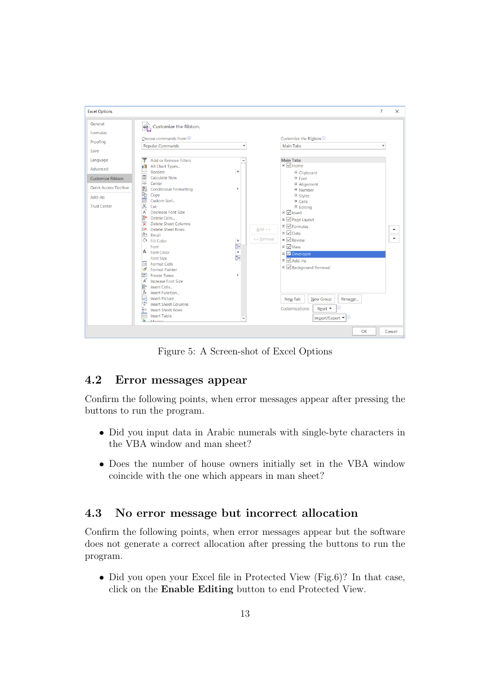

Figure 5: A Screen-shot of Excel Options

# **4.2 Error messages appear**

Confirm the following points, when error messages appear after pressing the buttons to run the program.

- Did you input data in Arabic numerals with single-byte characters in the VBA window and man sheet?
- *•* Does the number of house owners initially set in the VBA window coincide with the one which appears in man sheet?

# **4.3 No error message but incorrect allocation**

Confirm the following points, when error messages appear but the software does not generate a correct allocation after pressing the buttons to run the program.

• Did you open your Excel file in Protected View (Fig.6)? In that case, click on the **Enable Editing** button to end Protected View.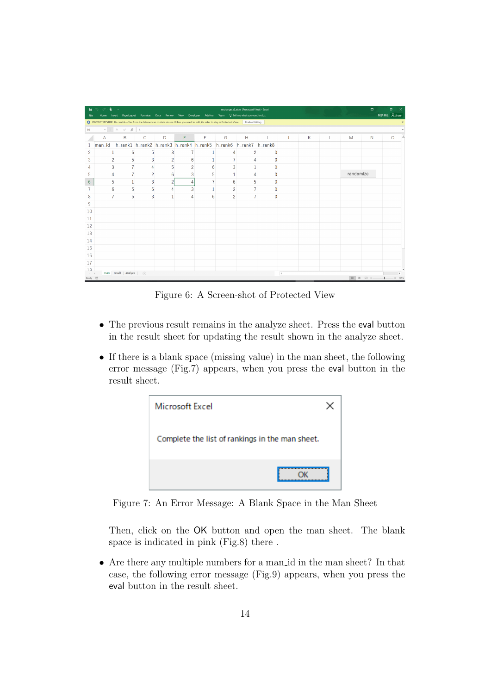| 日<br>File                                 | $6 - 0.2 + 1$  |                                                         | Home Insert Page Layout Formulas Data Review |                | <b>View</b><br>Developer | Add-ins                                                                                                                                              |                | exchange_v5.xlsm [Protected View] - Excel<br>Team $Q$ Tell me what you want to do |          |               |   |   |           | 画                             | п<br>阿部修也 A Share |                |
|-------------------------------------------|----------------|---------------------------------------------------------|----------------------------------------------|----------------|--------------------------|------------------------------------------------------------------------------------------------------------------------------------------------------|----------------|-----------------------------------------------------------------------------------|----------|---------------|---|---|-----------|-------------------------------|-------------------|----------------|
|                                           |                |                                                         |                                              |                |                          | PROTECTED VIEW Be careful-files from the Internet can contain viruses. Unless you need to edit, it's safer to stay in Protected View. Enable Editing |                |                                                                                   |          |               |   |   |           |                               |                   |                |
| <b>E6</b>                                 |                | $\star$   $\quad \times \quad \checkmark \quad f_k$   4 |                                              |                |                          |                                                                                                                                                      |                |                                                                                   |          |               |   |   |           |                               |                   |                |
|                                           | A              | B                                                       | C                                            | D              | E                        | F                                                                                                                                                    | G              | H                                                                                 |          | J.            | K | L | M         | N                             |                   | A<br>$\circ$   |
|                                           | man_id         |                                                         |                                              |                |                          | h_rank1 h_rank2 h_rank3 h_rank4 h_rank5 h_rank6 h_rank7 h_rank8                                                                                      |                |                                                                                   |          |               |   |   |           |                               |                   |                |
| $\overline{c}$                            |                | 6                                                       | 5                                            | 3              |                          |                                                                                                                                                      |                | 2                                                                                 | $\Omega$ |               |   |   |           |                               |                   |                |
| 3                                         | 2              | 5                                                       | 3                                            | $\overline{c}$ | 6                        |                                                                                                                                                      |                |                                                                                   |          |               |   |   |           |                               |                   |                |
| 4                                         | 3              |                                                         | 4                                            | 5              | $\overline{2}$           | 6                                                                                                                                                    | 3              | 1                                                                                 | 0        |               |   |   |           |                               |                   |                |
| 5                                         | 4              | 7                                                       | $\overline{2}$                               | 6              | 3                        | 5                                                                                                                                                    |                | Δ                                                                                 | 0        |               |   |   | randomize |                               |                   |                |
| $6\phantom{.}6$                           | 5              | 1                                                       | 3                                            | $\overline{c}$ | 4                        | $\overline{t}$                                                                                                                                       | 6              | 5                                                                                 | $\bf{0}$ |               |   |   |           |                               |                   |                |
|                                           | 6              | 5                                                       | $6\phantom{.}6$                              | 4              | 3                        | $\mathbf{1}$                                                                                                                                         | $\overline{2}$ | $\overline{7}$                                                                    | $\bf{0}$ |               |   |   |           |                               |                   |                |
| 8                                         | $\overline{7}$ | 5                                                       | 3                                            | $\mathbf{1}$   | $\overline{A}$           | 6                                                                                                                                                    | $\overline{2}$ | $\overline{7}$                                                                    | $\bf{0}$ |               |   |   |           |                               |                   |                |
| 9                                         |                |                                                         |                                              |                |                          |                                                                                                                                                      |                |                                                                                   |          |               |   |   |           |                               |                   |                |
| 10                                        |                |                                                         |                                              |                |                          |                                                                                                                                                      |                |                                                                                   |          |               |   |   |           |                               |                   |                |
| 11                                        |                |                                                         |                                              |                |                          |                                                                                                                                                      |                |                                                                                   |          |               |   |   |           |                               |                   |                |
| 12                                        |                |                                                         |                                              |                |                          |                                                                                                                                                      |                |                                                                                   |          |               |   |   |           |                               |                   |                |
| 13                                        |                |                                                         |                                              |                |                          |                                                                                                                                                      |                |                                                                                   |          |               |   |   |           |                               |                   |                |
| 14                                        |                |                                                         |                                              |                |                          |                                                                                                                                                      |                |                                                                                   |          |               |   |   |           |                               |                   |                |
| 15                                        |                |                                                         |                                              |                |                          |                                                                                                                                                      |                |                                                                                   |          |               |   |   |           |                               |                   |                |
| 16                                        |                |                                                         |                                              |                |                          |                                                                                                                                                      |                |                                                                                   |          |               |   |   |           |                               |                   |                |
| 17                                        |                |                                                         |                                              |                |                          |                                                                                                                                                      |                |                                                                                   |          |               |   |   |           |                               |                   |                |
| 18                                        |                |                                                         |                                              |                |                          |                                                                                                                                                      |                |                                                                                   |          |               |   |   |           |                               |                   |                |
| $\left\vert 1\right\rangle$<br>Ready fill |                | man result analyze                                      | $\circledR$                                  |                |                          |                                                                                                                                                      |                |                                                                                   |          | $\frac{1}{2}$ |   |   | 00<br>囲   | 凹<br>$\overline{\phantom{a}}$ |                   | ×.<br>$+ 145%$ |

Figure 6: A Screen-shot of Protected View

- The previous result remains in the analyze sheet. Press the eval button in the result sheet for updating the result shown in the analyze sheet.
- *•* If there is a blank space (missing value) in the man sheet, the following error message (Fig.7) appears, when you press the eval button in the result sheet.



Figure 7: An Error Message: A Blank Space in the Man Sheet

Then, click on the OK button and open the man sheet. The blank space is indicated in pink (Fig.8) there .

*•* Are there any multiple numbers for a man id in the man sheet? In that case, the following error message (Fig.9) appears, when you press the eval button in the result sheet.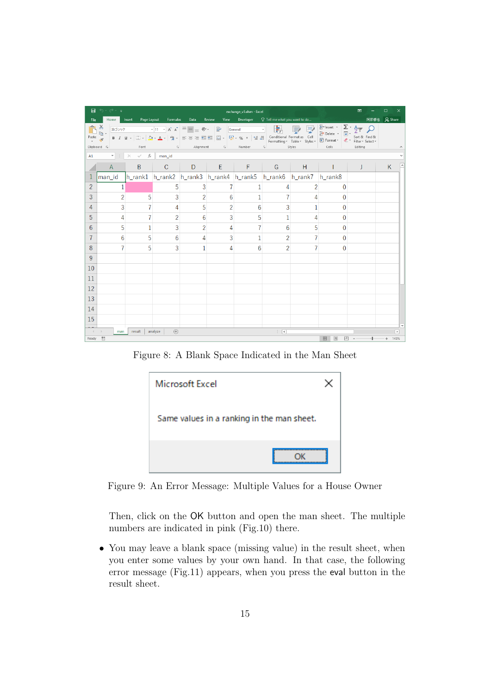|                       | 日うです                                         |                                                |                                  |                |                | exchange v5.xlsm - Excel                                                                                   |                          |                                    |                       | 囨                                                                                               | □                     |
|-----------------------|----------------------------------------------|------------------------------------------------|----------------------------------|----------------|----------------|------------------------------------------------------------------------------------------------------------|--------------------------|------------------------------------|-----------------------|-------------------------------------------------------------------------------------------------|-----------------------|
| File                  |                                              |                                                | Home Insert Page Layout Formulas | Data           | Review         | View Developer Q Tell me what you want to do                                                               |                          |                                    |                       | 阿部修也                                                                                            | Q Share               |
| Paste $\frac{1}{x^*}$ | $\mathbf{B}^*_{\mathbf{a}}$ .<br>Clipboard 5 | Font                                           |                                  |                |                | <sup>游ゴシック</sup> 「11 × A A $\vert$ ≡ ≡ ≫ → ■ General →<br><b>Example 20</b> Alignment Example 20 Number Ex | 羞                        | <b>Contract Contract</b><br>Styles | and the con-<br>Cells | $\frac{2}{2}$ Insert $\cdot$ $\frac{\sum \cdot \frac{A}{2}}{\sum \cdot \frac{B}{2}}$<br>Editing |                       |
| A1                    |                                              | $\mathbf{v}$ : $\times$ $\checkmark$ fx man_id |                                  |                |                |                                                                                                            |                          |                                    |                       |                                                                                                 |                       |
|                       | $\mathsf{A}$                                 | B                                              |                                  | $C$ D          | $E =$          | $F =$                                                                                                      | G                        | H                                  |                       | J                                                                                               | K                     |
|                       |                                              |                                                |                                  |                |                | man_id h_rank1 h_rank2 h_rank3 h_rank4 h_rank5 h_rank6 h_rank7 h_rank8                                     |                          |                                    |                       |                                                                                                 |                       |
| $\overline{2}$        | 1                                            |                                                | 5                                | 3              | 7              |                                                                                                            | 4                        | 2                                  | 0                     |                                                                                                 |                       |
| 3                     | $\overline{2}$                               | 5                                              | 3                                | $\overline{2}$ | 6              | $\mathbf{1}$                                                                                               |                          | 4                                  | $\mathbf{0}$          |                                                                                                 |                       |
| 4                     | 3                                            | $\overline{7}$                                 | 4                                | 5              | $\overline{2}$ | 6                                                                                                          | 3                        |                                    | 0                     |                                                                                                 |                       |
| 5                     | 4                                            | 7                                              | $\overline{2}$                   | 6              | 3              | 5                                                                                                          | 1                        | 4                                  | 0                     |                                                                                                 |                       |
| 6                     | 5                                            | 1                                              | 3                                | $\overline{2}$ | 4              |                                                                                                            | 6                        | 5                                  | 0                     |                                                                                                 |                       |
| 7                     | 6                                            | 5                                              | 6                                | 4              | 3              |                                                                                                            | $\overline{2}$           |                                    | $\bf{0}$              |                                                                                                 |                       |
| 8                     |                                              | 5                                              | 3                                | 1              | 4              | 6                                                                                                          | $\overline{2}$           |                                    | $\Omega$              |                                                                                                 |                       |
| 9                     |                                              |                                                |                                  |                |                |                                                                                                            |                          |                                    |                       |                                                                                                 |                       |
| 10                    |                                              |                                                |                                  |                |                |                                                                                                            |                          |                                    |                       |                                                                                                 |                       |
| 11                    |                                              |                                                |                                  |                |                |                                                                                                            |                          |                                    |                       |                                                                                                 |                       |
| 12                    |                                              |                                                |                                  |                |                |                                                                                                            |                          |                                    |                       |                                                                                                 |                       |
| 13                    |                                              |                                                |                                  |                |                |                                                                                                            |                          |                                    |                       |                                                                                                 |                       |
| 14                    |                                              |                                                |                                  |                |                |                                                                                                            |                          |                                    |                       |                                                                                                 |                       |
| 15                    |                                              |                                                |                                  |                |                |                                                                                                            |                          |                                    |                       |                                                                                                 |                       |
|                       | man                                          | result                                         | (4)<br>analyze                   |                |                |                                                                                                            | $\mathbb{E}[\mathbf{x}]$ |                                    |                       |                                                                                                 | $\blacktriangleright$ |
| Ready                 |                                              |                                                |                                  |                |                |                                                                                                            |                          |                                    | 凹<br>囲<br>间           |                                                                                                 | 145%                  |

Figure 8: A Blank Space Indicated in the Man Sheet



Figure 9: An Error Message: Multiple Values for a House Owner

Then, click on the OK button and open the man sheet. The multiple numbers are indicated in pink (Fig.10) there.

*•* You may leave a blank space (missing value) in the result sheet, when you enter some values by your own hand. In that case, the following error message (Fig.11) appears, when you press the eval button in the result sheet.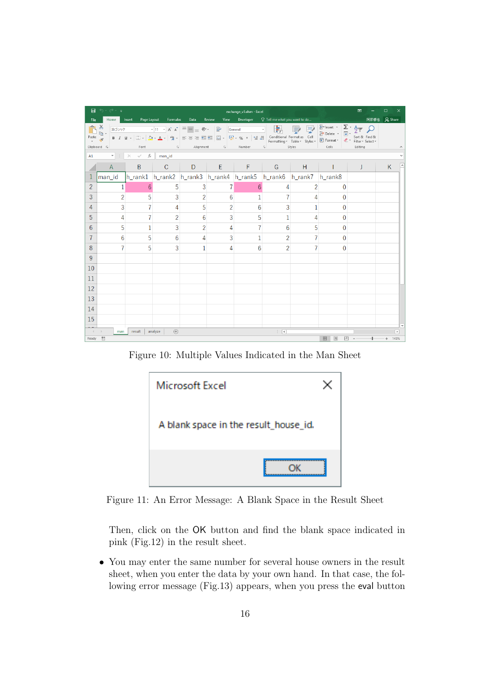|                | 日うです                                       |                                                |                                  |                |                | exchange_v5.xlsm - Excel                                                                                                                                                                                                            |                |        |                | 囨                                                                         | □          |                          |
|----------------|--------------------------------------------|------------------------------------------------|----------------------------------|----------------|----------------|-------------------------------------------------------------------------------------------------------------------------------------------------------------------------------------------------------------------------------------|----------------|--------|----------------|---------------------------------------------------------------------------|------------|--------------------------|
| File           |                                            |                                                | Home Insert Page Layout Formulas | Data           | Review         | View Developer Q Tell me what you want to do                                                                                                                                                                                        |                |        |                | 阿部修也                                                                      | $Q4$ Share |                          |
| Paste          | ${\bf \tilde{D}_m^{\ast}}.$<br>Clipboard 5 | Font                                           |                                  |                |                | <b>Example 2</b> Alignment Alimnum Alignment Alimnum Alignment Alimnum Alignment Alignment Alignment Alignment Alignment Alignment Alignment Alignment Alignment Alignment Alignment Alignment Alignment Alignment Alignment Alignm | 喘              | Styles | Cells and      | $\frac{2}{2}$ Insert $\cdot$ $\frac{\sum \cdot A_{\gamma}}{2}$<br>Editing |            |                          |
| A1             |                                            | $\mathbf{v}$ : $\times$ $\checkmark$ fx man_id |                                  |                |                |                                                                                                                                                                                                                                     |                |        |                |                                                                           |            |                          |
|                | $\mathsf{A}$                               | B                                              |                                  | $C$ D          | $\mathsf{E}$   | $F =$                                                                                                                                                                                                                               | G              | H      |                | J                                                                         | K          |                          |
|                | man id                                     |                                                |                                  |                |                | h_rank1 h_rank2 h_rank3 h_rank4 h_rank5 h_rank6 h_rank7 h_rank8                                                                                                                                                                     |                |        |                |                                                                           |            |                          |
| $\overline{2}$ | 1                                          | 6                                              | 5                                | 3              | $\overline{7}$ | 6                                                                                                                                                                                                                                   | 4              | 2      | $\mathbf{0}$   |                                                                           |            |                          |
| 3              | $\overline{2}$                             | 5                                              | 3                                | $\overline{2}$ | 6              | $\mathbf{1}$                                                                                                                                                                                                                        |                | 4      | $\overline{0}$ |                                                                           |            |                          |
| 4              | 3                                          | 7                                              | 4                                | 5              | $\overline{2}$ | 6                                                                                                                                                                                                                                   | 3              |        | 0              |                                                                           |            |                          |
| 5              | 4                                          | 7                                              | $\overline{2}$                   | 6              | 3              | 5                                                                                                                                                                                                                                   | 1              | 4      | 0              |                                                                           |            |                          |
| 6              | 5                                          | $\mathbf{1}$                                   | 3                                | $\overline{2}$ | 4              |                                                                                                                                                                                                                                     | 6              | 5      | 0              |                                                                           |            |                          |
| 7              | 6                                          | 5                                              | 6                                | 4              | 3              |                                                                                                                                                                                                                                     | 2              | 7      | 0              |                                                                           |            |                          |
| 8              |                                            | 5                                              | 3                                | 1              | 4              | 6                                                                                                                                                                                                                                   | $\overline{2}$ |        | 0              |                                                                           |            |                          |
| 9              |                                            |                                                |                                  |                |                |                                                                                                                                                                                                                                     |                |        |                |                                                                           |            |                          |
| 10             |                                            |                                                |                                  |                |                |                                                                                                                                                                                                                                     |                |        |                |                                                                           |            |                          |
| 11             |                                            |                                                |                                  |                |                |                                                                                                                                                                                                                                     |                |        |                |                                                                           |            |                          |
| 12             |                                            |                                                |                                  |                |                |                                                                                                                                                                                                                                     |                |        |                |                                                                           |            |                          |
| 13             |                                            |                                                |                                  |                |                |                                                                                                                                                                                                                                     |                |        |                |                                                                           |            |                          |
| 14             |                                            |                                                |                                  |                |                |                                                                                                                                                                                                                                     |                |        |                |                                                                           |            |                          |
| 15             |                                            |                                                |                                  |                |                |                                                                                                                                                                                                                                     |                |        |                |                                                                           |            |                          |
| $\rightarrow$  | man                                        | result                                         | $(+)$<br>analyze                 |                |                |                                                                                                                                                                                                                                     | $\mathbb{R}$   |        |                |                                                                           |            | $\overline{\phantom{a}}$ |
| Ready          | 問                                          |                                                |                                  |                |                |                                                                                                                                                                                                                                     |                |        | 冊<br>O         | 凹                                                                         |            | 145%                     |

Figure 10: Multiple Values Indicated in the Man Sheet



Figure 11: An Error Message: A Blank Space in the Result Sheet

Then, click on the OK button and find the blank space indicated in pink (Fig.12) in the result sheet.

*•* You may enter the same number for several house owners in the result sheet, when you enter the data by your own hand. In that case, the following error message (Fig.13) appears, when you press the eval button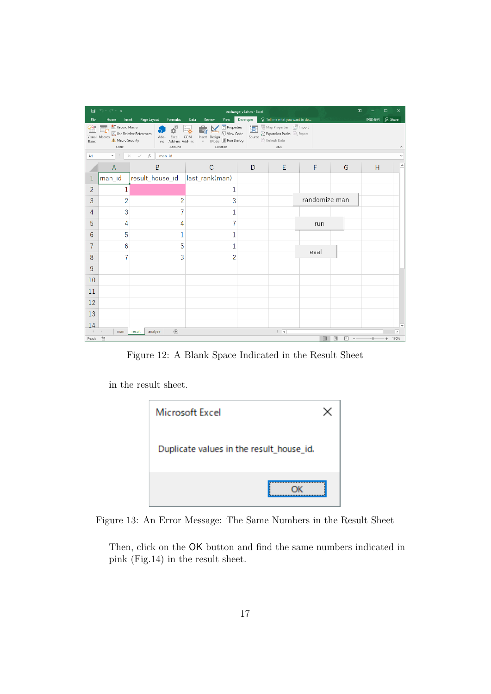| 8              | ち・さ・・                                                     |                                                                                     |                                                                                                                            | exchange_v5.xlsm - Excel |                                                                                                    |               | 囨             |   | $\Box$<br>$\times$               |
|----------------|-----------------------------------------------------------|-------------------------------------------------------------------------------------|----------------------------------------------------------------------------------------------------------------------------|--------------------------|----------------------------------------------------------------------------------------------------|---------------|---------------|---|----------------------------------|
| File           | Home<br>Insert                                            | Page Layout<br>Formulas                                                             | View<br>Data<br>Review                                                                                                     | Developer                | Q Tell me what you want to do                                                                      |               |               |   | 阿部修也   Q Share                   |
| Basic          | Record Macro<br>Visual Macros<br>A Macro Security<br>Code | đþ<br>Use Relative References<br>Excel<br>Add-<br>Add-ins Add-ins<br>ins<br>Add-ins | <b>E</b> Properties<br>ंक<br>a View Code<br>COM<br>Insert Design<br>Mode <sup>3</sup> Run Dialog<br>$_{\rm v}$<br>Controls | le.<br>Source            | Map Properties <b>So Import</b><br>Expansion Packs & Export<br><b>Particle</b> Refresh Data<br>XML |               |               |   |                                  |
| A1             | $\mathbf{v}$<br>$\times$                                  | $f_{\rm sc}$<br>man_id<br>$\checkmark$                                              |                                                                                                                            |                          |                                                                                                    |               |               |   |                                  |
|                | $\overline{A}$                                            | B                                                                                   | $\mathsf{C}$                                                                                                               | D                        | Ε                                                                                                  | F             | G             | Н |                                  |
|                | man_id                                                    | result_house_id                                                                     | last_rank(man)                                                                                                             |                          |                                                                                                    |               |               |   |                                  |
| $\overline{2}$ | 1                                                         |                                                                                     | 1                                                                                                                          |                          |                                                                                                    |               |               |   |                                  |
| 3              | $\overline{c}$                                            | $\overline{2}$                                                                      | 3                                                                                                                          |                          |                                                                                                    | randomize man |               |   |                                  |
| 4              | 3                                                         |                                                                                     | 1                                                                                                                          |                          |                                                                                                    |               |               |   |                                  |
| 5              | 4                                                         | 4                                                                                   |                                                                                                                            |                          |                                                                                                    | run           |               |   |                                  |
| 6              | 5                                                         | 1                                                                                   | 1                                                                                                                          |                          |                                                                                                    |               |               |   |                                  |
| 7              | 6                                                         | 5                                                                                   | 1                                                                                                                          |                          |                                                                                                    | eval          |               |   |                                  |
| 8              | 7                                                         | 3                                                                                   | $\overline{2}$                                                                                                             |                          |                                                                                                    |               |               |   |                                  |
| 9              |                                                           |                                                                                     |                                                                                                                            |                          |                                                                                                    |               |               |   |                                  |
| 10             |                                                           |                                                                                     |                                                                                                                            |                          |                                                                                                    |               |               |   |                                  |
| 11             |                                                           |                                                                                     |                                                                                                                            |                          |                                                                                                    |               |               |   |                                  |
| 12             |                                                           |                                                                                     |                                                                                                                            |                          |                                                                                                    |               |               |   |                                  |
| 13             |                                                           |                                                                                     |                                                                                                                            |                          |                                                                                                    |               |               |   |                                  |
| 14             |                                                           |                                                                                     |                                                                                                                            |                          |                                                                                                    |               |               |   |                                  |
|                | man<br>圖                                                  | $\bigoplus$<br>analyze<br>result                                                    |                                                                                                                            |                          | $\mathbb{E}\left[ \mathbb{E}\right]$                                                               | 囲             | <b>I</b><br>凹 |   | $\overline{\phantom{a}}$<br>160% |
| Ready          |                                                           |                                                                                     |                                                                                                                            |                          |                                                                                                    |               |               |   | ÷                                |

Figure 12: A Blank Space Indicated in the Result Sheet

in the result sheet.



Figure 13: An Error Message: The Same Numbers in the Result Sheet

Then, click on the OK button and find the same numbers indicated in pink (Fig.14) in the result sheet.